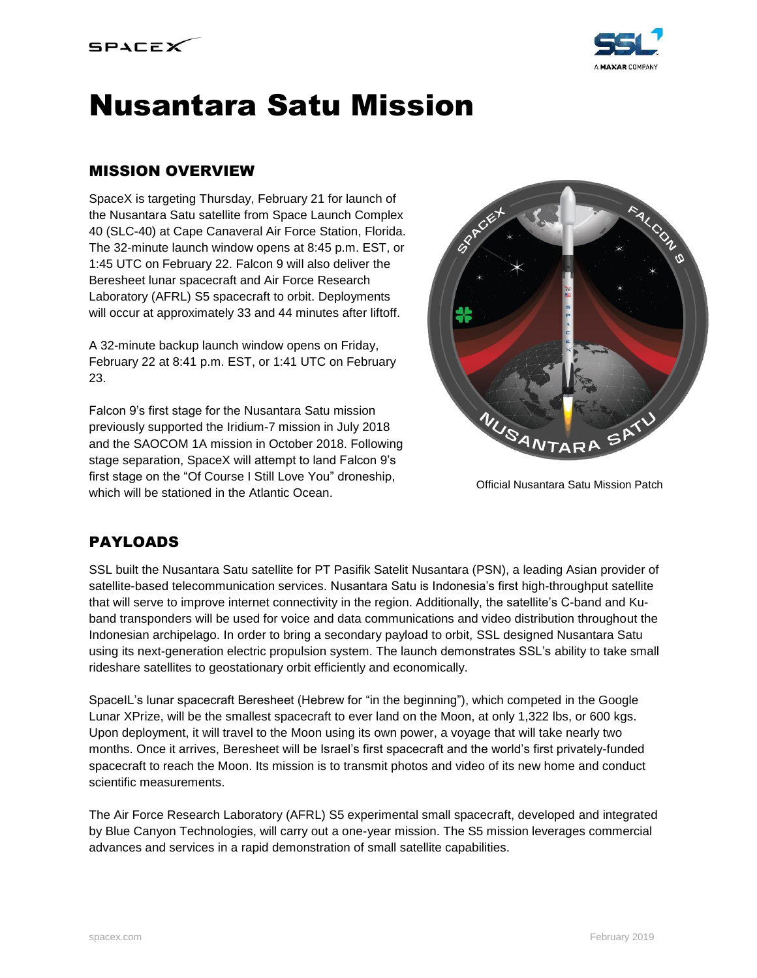



# Nusantara Satu Mission

### MISSION OVERVIEW

SpaceX is targeting Thursday, February 21 for launch of the Nusantara Satu satellite from Space Launch Complex 40 (SLC-40) at Cape Canaveral Air Force Station, Florida. The 32-minute launch window opens at 8:45 p.m. EST, or 1:45 UTC on February 22. Falcon 9 will also deliver the Beresheet lunar spacecraft and Air Force Research Laboratory (AFRL) S5 spacecraft to orbit. Deployments will occur at approximately 33 and 44 minutes after liftoff.

A 32-minute backup launch window opens on Friday, February 22 at 8:41 p.m. EST, or 1:41 UTC on February 23.

Falcon 9's first stage for the Nusantara Satu mission previously supported the Iridium-7 mission in July 2018 and the SAOCOM 1A mission in October 2018. Following stage separation, SpaceX will attempt to land Falcon 9's first stage on the "Of Course I Still Love You" droneship, which will be stationed in the Atlantic Ocean.



Official Nusantara Satu Mission Patch

# PAYLOADS

SSL built the Nusantara Satu satellite for PT Pasifik Satelit Nusantara (PSN), a leading Asian provider of satellite-based telecommunication services. Nusantara Satu is Indonesia's first high-throughput satellite that will serve to improve internet connectivity in the region. Additionally, the satellite's C-band and Kuband transponders will be used for voice and data communications and video distribution throughout the Indonesian archipelago. In order to bring a secondary payload to orbit, SSL designed Nusantara Satu using its next-generation electric propulsion system. The launch demonstrates SSL's ability to take small rideshare satellites to geostationary orbit efficiently and economically.

SpaceIL's lunar spacecraft Beresheet (Hebrew for "in the beginning"), which competed in the Google Lunar XPrize, will be the smallest spacecraft to ever land on the Moon, at only 1,322 lbs, or 600 kgs. Upon deployment, it will travel to the Moon using its own power, a voyage that will take nearly two months. Once it arrives, Beresheet will be Israel's first spacecraft and the world's first privately-funded spacecraft to reach the Moon. Its mission is to transmit photos and video of its new home and conduct scientific measurements.

The Air Force Research Laboratory (AFRL) S5 experimental small spacecraft, developed and integrated by Blue Canyon Technologies, will carry out a one-year mission. The S5 mission leverages commercial advances and services in a rapid demonstration of small satellite capabilities.